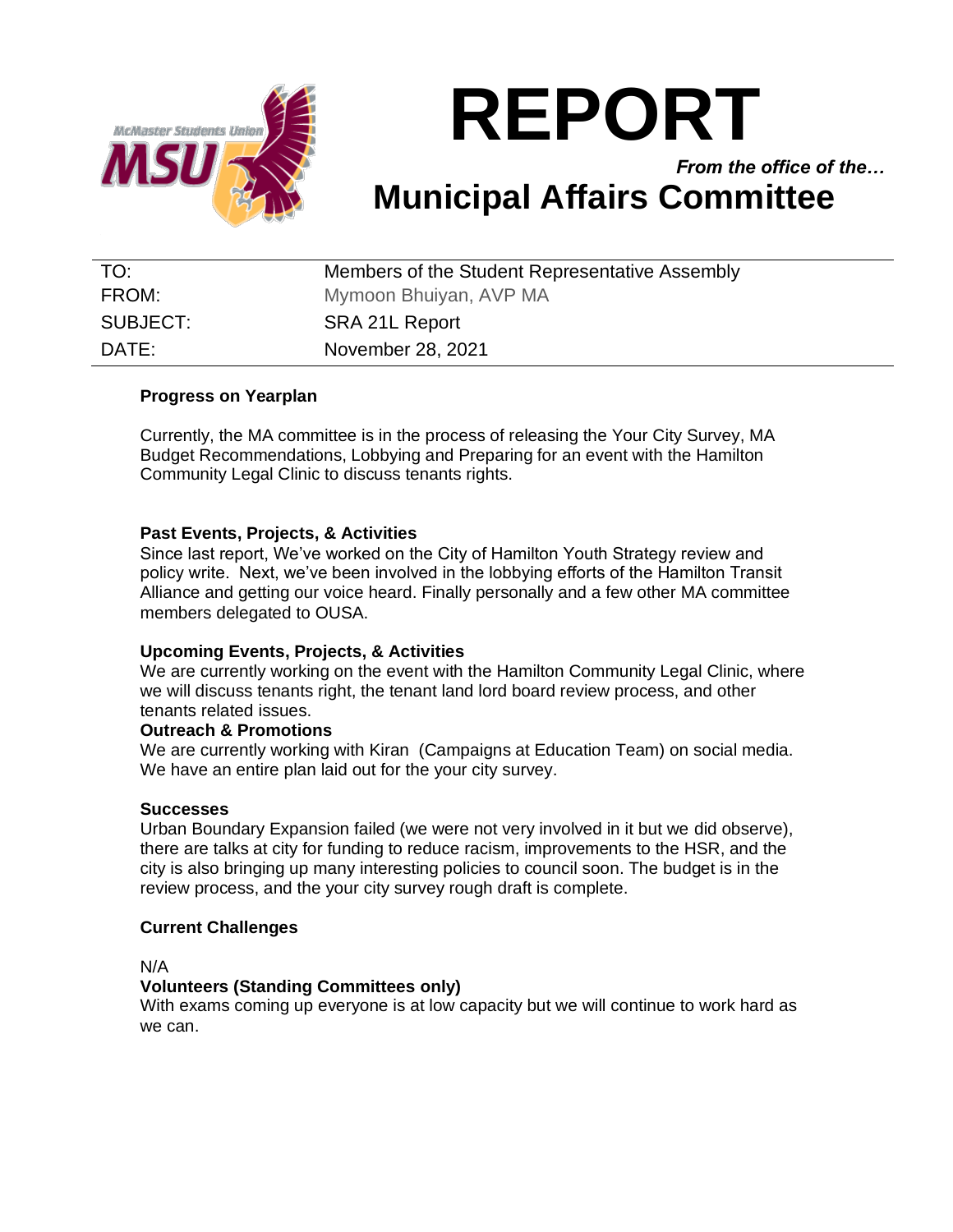

# **REPORT**

*From the office of the…* **Municipal Affairs Committee**

| TO:      | Members of the Student Representative Assembly |
|----------|------------------------------------------------|
| FROM:    | Mymoon Bhuiyan, AVP MA                         |
| SUBJECT: | SRA 21L Report                                 |
| DATE:    | November 28, 2021                              |

# **Progress on Yearplan**

Currently, the MA committee is in the process of releasing the Your City Survey, MA Budget Recommendations, Lobbying and Preparing for an event with the Hamilton Community Legal Clinic to discuss tenants rights.

# **Past Events, Projects, & Activities**

Since last report, We've worked on the City of Hamilton Youth Strategy review and policy write. Next, we've been involved in the lobbying efforts of the Hamilton Transit Alliance and getting our voice heard. Finally personally and a few other MA committee members delegated to OUSA.

# **Upcoming Events, Projects, & Activities**

We are currently working on the event with the Hamilton Community Legal Clinic, where we will discuss tenants right, the tenant land lord board review process, and other tenants related issues.

### **Outreach & Promotions**

We are currently working with Kiran (Campaigns at Education Team) on social media. We have an entire plan laid out for the your city survey.

### **Successes**

Urban Boundary Expansion failed (we were not very involved in it but we did observe), there are talks at city for funding to reduce racism, improvements to the HSR, and the city is also bringing up many interesting policies to council soon. The budget is in the review process, and the your city survey rough draft is complete.

### **Current Challenges**

N/A

### **Volunteers (Standing Committees only)**

With exams coming up everyone is at low capacity but we will continue to work hard as we can.